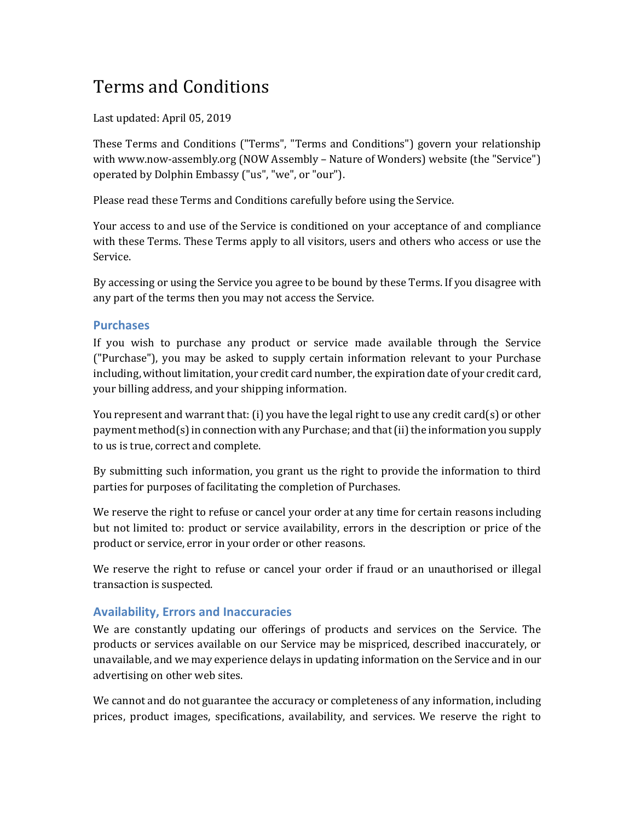# Terms and Conditions

Last updated: April 05, 2019

These Terms and Conditions ("Terms", "Terms and Conditions") govern your relationship with www.now-assembly.org (NOW Assembly – Nature of Wonders) website (the "Service") operated by Dolphin Embassy ("us", "we", or "our").

Please read these Terms and Conditions carefully before using the Service.

Your access to and use of the Service is conditioned on your acceptance of and compliance with these Terms. These Terms apply to all visitors, users and others who access or use the Service.

By accessing or using the Service you agree to be bound by these Terms. If you disagree with any part of the terms then you may not access the Service.

## **Purchases**

If you wish to purchase any product or service made available through the Service ("Purchase"), you may be asked to supply certain information relevant to your Purchase including, without limitation, your credit card number, the expiration date of your credit card, your billing address, and your shipping information.

You represent and warrant that: (i) you have the legal right to use any credit card(s) or other payment method(s) in connection with any Purchase; and that (ii) the information you supply to us is true, correct and complete.

By submitting such information, you grant us the right to provide the information to third parties for purposes of facilitating the completion of Purchases.

We reserve the right to refuse or cancel your order at any time for certain reasons including but not limited to: product or service availability, errors in the description or price of the product or service, error in your order or other reasons.

We reserve the right to refuse or cancel your order if fraud or an unauthorised or illegal transaction is suspected.

## **Availability, Errors and Inaccuracies**

We are constantly updating our offerings of products and services on the Service. The products or services available on our Service may be mispriced, described inaccurately, or unavailable, and we may experience delays in updating information on the Service and in our advertising on other web sites.

We cannot and do not guarantee the accuracy or completeness of any information, including prices, product images, specifications, availability, and services. We reserve the right to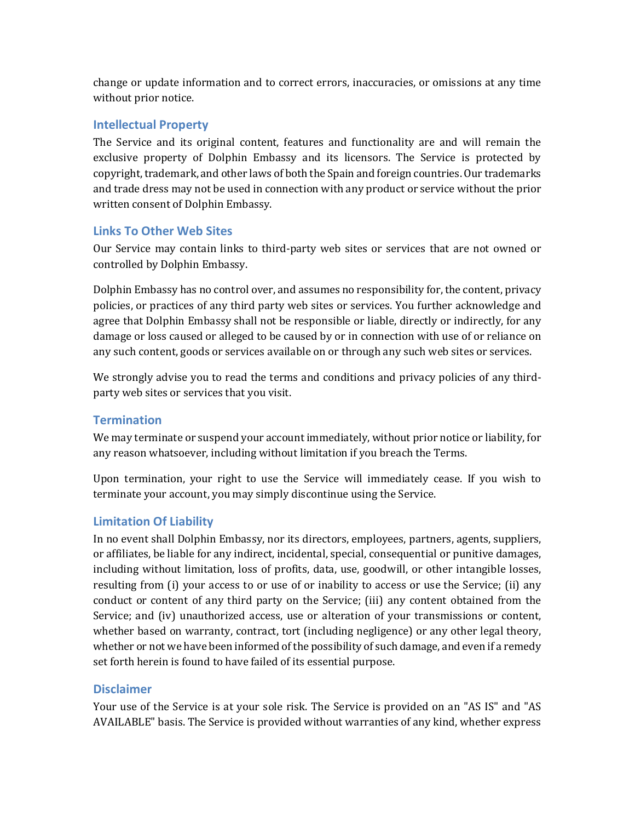change or update information and to correct errors, inaccuracies, or omissions at any time without prior notice.

#### **Intellectual Property**

The Service and its original content, features and functionality are and will remain the exclusive property of Dolphin Embassy and its licensors. The Service is protected by copyright, trademark, and other laws of both the Spain and foreign countries. Our trademarks and trade dress may not be used in connection with any product or service without the prior written consent of Dolphin Embassy.

#### **Links To Other Web Sites**

Our Service may contain links to third-party web sites or services that are not owned or controlled by Dolphin Embassy.

Dolphin Embassy has no control over, and assumes no responsibility for, the content, privacy policies, or practices of any third party web sites or services. You further acknowledge and agree that Dolphin Embassy shall not be responsible or liable, directly or indirectly, for any damage or loss caused or alleged to be caused by or in connection with use of or reliance on any such content, goods or services available on or through any such web sites or services.

We strongly advise you to read the terms and conditions and privacy policies of any thirdparty web sites or services that you visit.

#### **Termination**

We may terminate or suspend your account immediately, without prior notice or liability, for any reason whatsoever, including without limitation if you breach the Terms.

Upon termination, your right to use the Service will immediately cease. If you wish to terminate your account, you may simply discontinue using the Service.

## **Limitation Of Liability**

In no event shall Dolphin Embassy, nor its directors, employees, partners, agents, suppliers, or affiliates, be liable for any indirect, incidental, special, consequential or punitive damages, including without limitation, loss of profits, data, use, goodwill, or other intangible losses, resulting from  $(i)$  your access to or use of or inability to access or use the Service;  $(ii)$  any conduct or content of any third party on the Service; (iii) any content obtained from the Service; and (iv) unauthorized access, use or alteration of your transmissions or content, whether based on warranty, contract, tort (including negligence) or any other legal theory, whether or not we have been informed of the possibility of such damage, and even if a remedy set forth herein is found to have failed of its essential purpose.

#### **Disclaimer**

Your use of the Service is at your sole risk. The Service is provided on an "AS IS" and "AS AVAILABLE" basis. The Service is provided without warranties of any kind, whether express